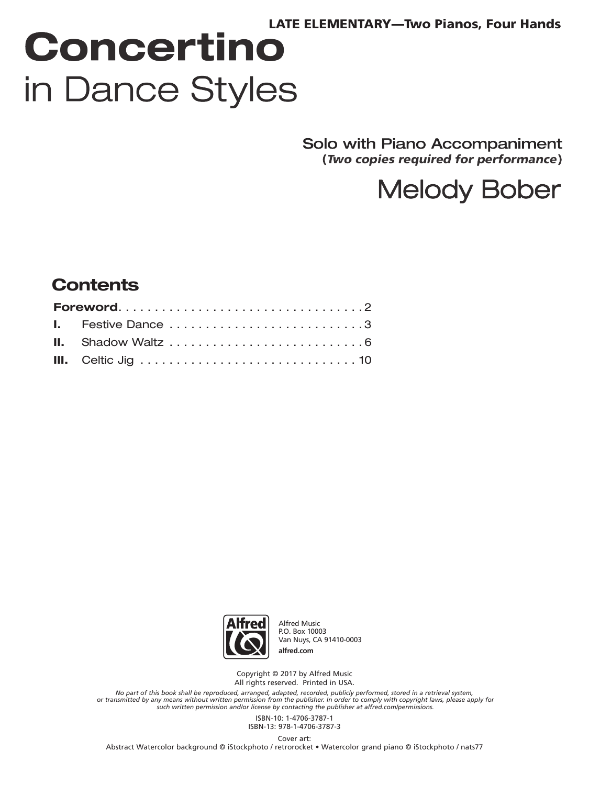#### **LATE ELEMENTARY-Two Pianos, Four Hands**

# **Concertino** in Dance Styles

Solo with Piano Accompaniment (Two copies required for performance)

## **Melody Bober**

#### **Contents**

|  | I. Festive Dance 3 |
|--|--------------------|
|  |                    |
|  |                    |



Alfred Music P.O. Box 10003 Van Nuys, CA 91410-0003 **alfred.com**

Copyright © 2017 by Alfred Music All rights reserved. Printed in USA.

No part of this book shall be reproduced, arranged, adapted, recorded, publicly performed, stored in a retrieval system,<br>or transmitted by any means without written permission from the publisher. In order to comply with co

ISBN-10: 1-4706-3787-1 ISBN-13: 978-1-4706-3787-3

Cover art: Abstract Watercolor background © iStockphoto / retrorocket • Watercolor grand piano © iStockphoto / nats77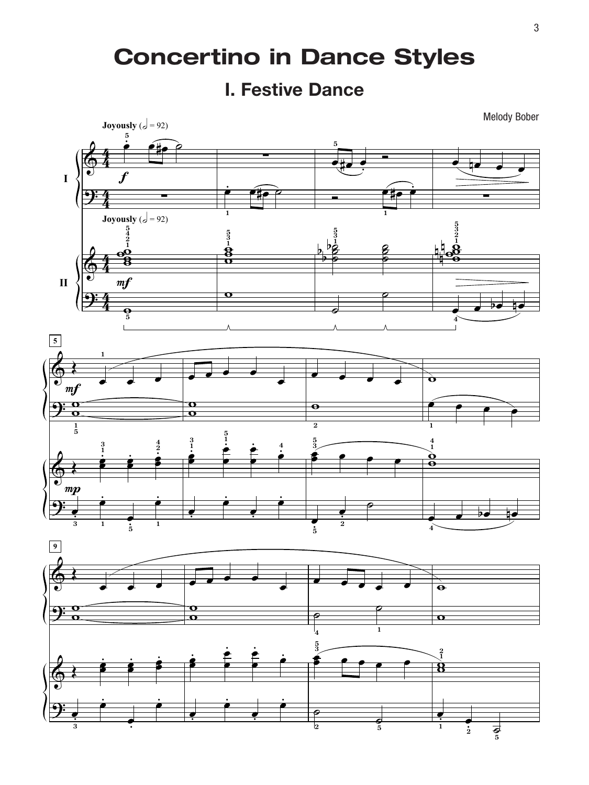## **Concertino in Dance Styles**

#### **I. Festive Dance**

œ **5**

!

 $\Phi$ 

**I**

 $\frac{4}{4}$ 4 .<br>م  $\frac{1}{2}$ **5**

**Joyously**  $(a = 92)$ 

f

 $e$ 

 $\frac{1}{\frac{1}{\sqrt{1-\frac{1}{\sqrt{1-\frac{1}{\sqrt{1-\frac{1}{\sqrt{1-\frac{1}{\sqrt{1-\frac{1}{\sqrt{1-\frac{1}{\sqrt{1-\frac{1}{\sqrt{1-\frac{1}{\sqrt{1-\frac{1}{\sqrt{1-\frac{1}{\sqrt{1-\frac{1}{\sqrt{1-\frac{1}{\sqrt{1-\frac{1}{\sqrt{1-\frac{1}{\sqrt{1-\frac{1}{\sqrt{1-\frac{1}{\sqrt{1-\frac{1}{\sqrt{1-\frac{1}{\sqrt{1-\frac{1}{\sqrt{1-\frac{1}{\sqrt{1-\frac{1}{\sqrt{1-\frac{1}{\sqrt{1-\frac{1}{\sqrt{$  $\overline{\phantom{a}}$  $\overline{\phantom{a}}$  $\widehat{\phantom{a}}$  $\ddot{\cdot}$  $\overline{\phantom{a}}$ Melody Bober





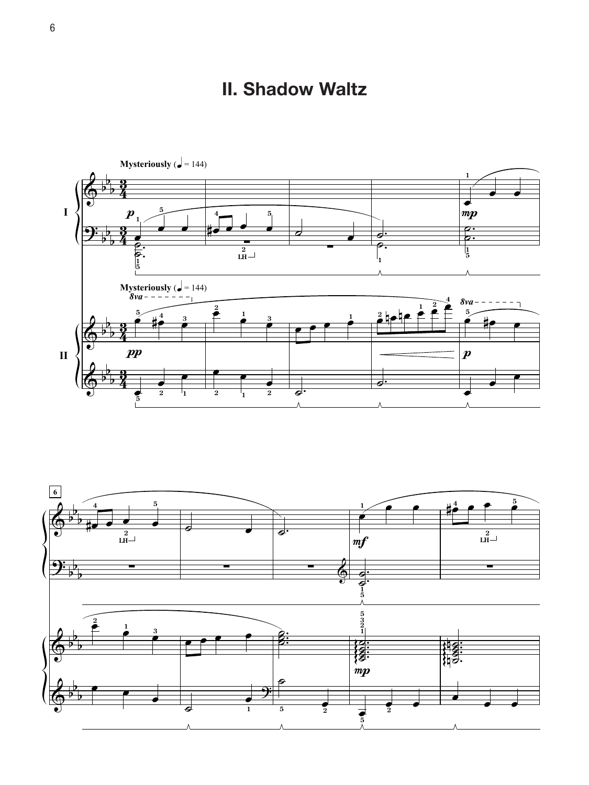### **II. Shadow Waltz**